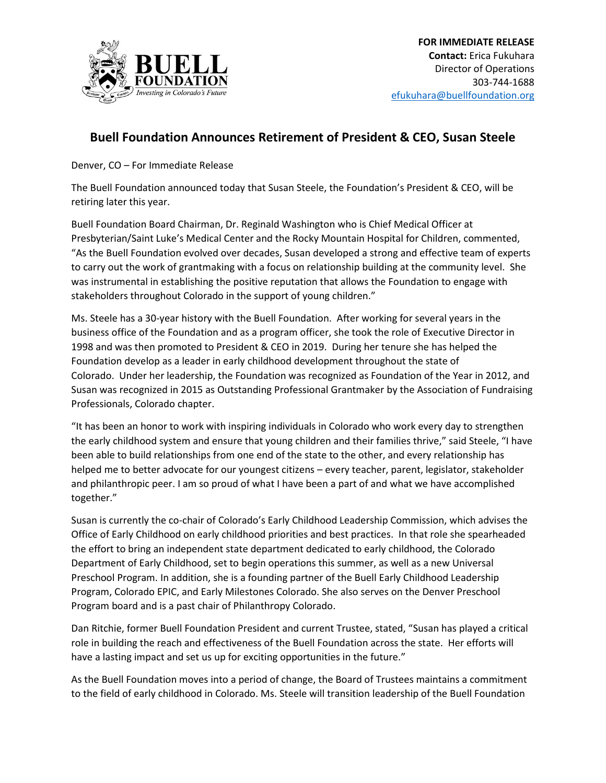

## **Buell Foundation Announces Retirement of President & CEO, Susan Steele**

Denver, CO – For Immediate Release

The Buell Foundation announced today that Susan Steele, the Foundation's President & CEO, will be retiring later this year.

Buell Foundation Board Chairman, Dr. Reginald Washington who is Chief Medical Officer at Presbyterian/Saint Luke's Medical Center and the Rocky Mountain Hospital for Children, commented, "As the Buell Foundation evolved over decades, Susan developed a strong and effective team of experts to carry out the work of grantmaking with a focus on relationship building at the community level. She was instrumental in establishing the positive reputation that allows the Foundation to engage with stakeholders throughout Colorado in the support of young children."

Ms. Steele has a 30-year history with the Buell Foundation. After working for several years in the business office of the Foundation and as a program officer, she took the role of Executive Director in 1998 and was then promoted to President & CEO in 2019. During her tenure she has helped the Foundation develop as a leader in early childhood development throughout the state of Colorado. Under her leadership, the Foundation was recognized as Foundation of the Year in 2012, and Susan was recognized in 2015 as Outstanding Professional Grantmaker by the Association of Fundraising Professionals, Colorado chapter.

"It has been an honor to work with inspiring individuals in Colorado who work every day to strengthen the early childhood system and ensure that young children and their families thrive," said Steele, "I have been able to build relationships from one end of the state to the other, and every relationship has helped me to better advocate for our youngest citizens – every teacher, parent, legislator, stakeholder and philanthropic peer. I am so proud of what I have been a part of and what we have accomplished together."

Susan is currently the co-chair of Colorado's Early Childhood Leadership Commission, which advises the Office of Early Childhood on early childhood priorities and best practices. In that role she spearheaded the effort to bring an independent state department dedicated to early childhood, the Colorado Department of Early Childhood, set to begin operations this summer, as well as a new Universal Preschool Program. In addition, she is a founding partner of the Buell Early Childhood Leadership Program, Colorado EPIC, and Early Milestones Colorado. She also serves on the Denver Preschool Program board and is a past chair of Philanthropy Colorado.

Dan Ritchie, former Buell Foundation President and current Trustee, stated, "Susan has played a critical role in building the reach and effectiveness of the Buell Foundation across the state. Her efforts will have a lasting impact and set us up for exciting opportunities in the future."

As the Buell Foundation moves into a period of change, the Board of Trustees maintains a commitment to the field of early childhood in Colorado. Ms. Steele will transition leadership of the Buell Foundation